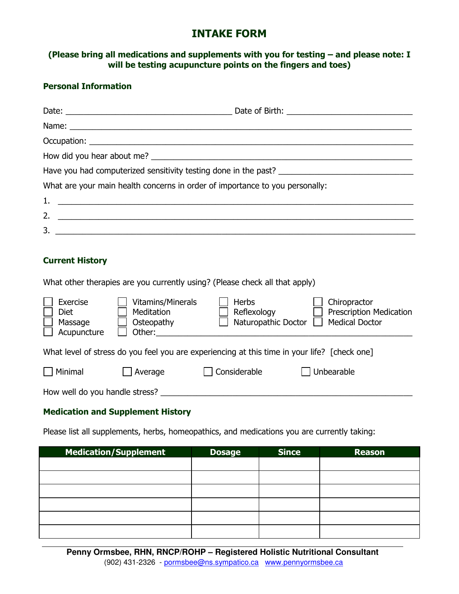# **INTAKE FORM**

#### **(Please bring all medications and supplements with you for testing – and please note: I will be testing acupuncture points on the fingers and toes)**

#### **Personal Information**

| What are your main health concerns in order of importance to you personally: |
|------------------------------------------------------------------------------|
|                                                                              |
| 2. $\qquad \qquad$                                                           |
| $\frac{1}{2}$                                                                |
|                                                                              |

#### **Current History**

What other therapies are you currently using? (Please check all that apply)

| Exercise<br><b>Diet</b><br>Massage<br>Acupuncture                                            | Vitamins/Minerals<br>Meditation<br>Osteopathy<br>Other: | <b>Herbs</b><br>Reflexology<br>Naturopathic Doctor | Chiropractor<br><b>Prescription Medication</b><br><b>Medical Doctor</b> |  |  |  |  |  |  |
|----------------------------------------------------------------------------------------------|---------------------------------------------------------|----------------------------------------------------|-------------------------------------------------------------------------|--|--|--|--|--|--|
| What level of stress do you feel you are experiencing at this time in your life? [check one] |                                                         |                                                    |                                                                         |  |  |  |  |  |  |
| Minimal                                                                                      | Average                                                 | Considerable                                       | Unbearable                                                              |  |  |  |  |  |  |
| How well do you handle stress?                                                               |                                                         |                                                    |                                                                         |  |  |  |  |  |  |

#### **Medication and Supplement History**

Please list all supplements, herbs, homeopathics, and medications you are currently taking:

| <b>Medication/Supplement</b> | <b>Dosage</b> | <b>Since</b> | <b>Reason</b> |
|------------------------------|---------------|--------------|---------------|
|                              |               |              |               |
|                              |               |              |               |
|                              |               |              |               |
|                              |               |              |               |
|                              |               |              |               |
|                              |               |              |               |